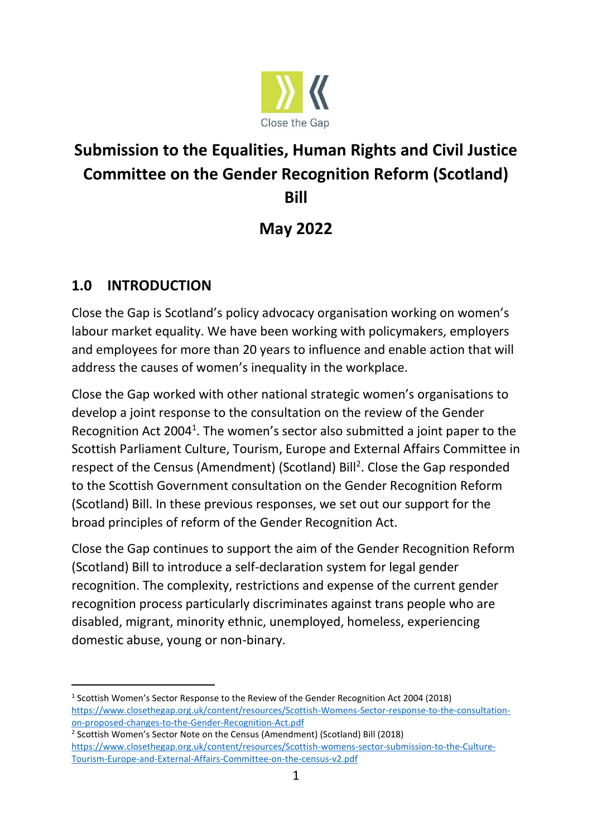

# **Submission to the Equalities, Human Rights and Civil Justice Committee on the Gender Recognition Reform (Scotland) Bill**

# **May 2022**

# **1.0 INTRODUCTION**

Close the Gap is Scotland's policy advocacy organisation working on women's labour market equality. We have been working with policymakers, employers and employees for more than 20 years to influence and enable action that will address the causes of women's inequality in the workplace.

Close the Gap worked with other national strategic women's organisations to develop a joint response to the consultation on the review of the Gender Recognition Act 2004<sup>1</sup>. The women's sector also submitted a joint paper to the Scottish Parliament Culture, Tourism, Europe and External Affairs Committee in respect of the Census (Amendment) (Scotland) Bill<sup>2</sup>. Close the Gap responded to the Scottish Government consultation on the Gender Recognition Reform (Scotland) Bill. In these previous responses, we set out our support for the broad principles of reform of the Gender Recognition Act.

Close the Gap continues to support the aim of the Gender Recognition Reform (Scotland) Bill to introduce a self-declaration system for legal gender recognition. The complexity, restrictions and expense of the current gender recognition process particularly discriminates against trans people who are disabled, migrant, minority ethnic, unemployed, homeless, experiencing domestic abuse, young or non-binary.

<sup>2</sup> Scottish Women's Sector Note on the Census (Amendment) (Scotland) Bill (2018) [https://www.closethegap.org.uk/content/resources/Scottish-womens-sector-submission-to-the-Culture-](https://www.closethegap.org.uk/content/resources/Scottish-womens-sector-submission-to-the-Culture-Tourism-Europe-and-External-Affairs-Committee-on-the-census-v2.pdf)[Tourism-Europe-and-External-Affairs-Committee-on-the-census-v2.pdf](https://www.closethegap.org.uk/content/resources/Scottish-womens-sector-submission-to-the-Culture-Tourism-Europe-and-External-Affairs-Committee-on-the-census-v2.pdf)

<sup>&</sup>lt;sup>1</sup> Scottish Women's Sector Response to the Review of the Gender Recognition Act 2004 (2018) [https://www.closethegap.org.uk/content/resources/Scottish-Womens-Sector-response-to-the-consultation](https://www.closethegap.org.uk/content/resources/Scottish-Womens-Sector-response-to-the-consultation-on-proposed-changes-to-the-Gender-Recognition-Act.pdf)[on-proposed-changes-to-the-Gender-Recognition-Act.pdf](https://www.closethegap.org.uk/content/resources/Scottish-Womens-Sector-response-to-the-consultation-on-proposed-changes-to-the-Gender-Recognition-Act.pdf)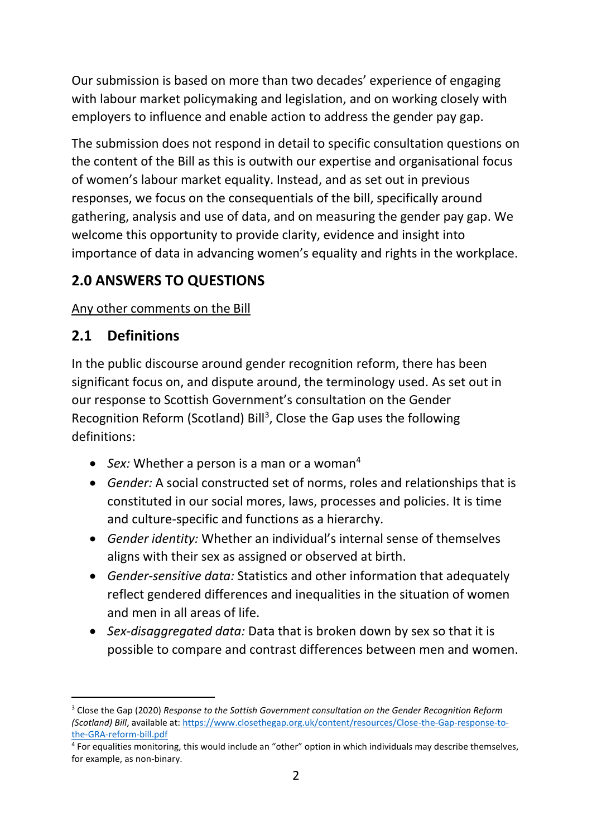Our submission is based on more than two decades' experience of engaging with labour market policymaking and legislation, and on working closely with employers to influence and enable action to address the gender pay gap.

The submission does not respond in detail to specific consultation questions on the content of the Bill as this is outwith our expertise and organisational focus of women's labour market equality. Instead, and as set out in previous responses, we focus on the consequentials of the bill, specifically around gathering, analysis and use of data, and on measuring the gender pay gap. We welcome this opportunity to provide clarity, evidence and insight into importance of data in advancing women's equality and rights in the workplace.

# **2.0 ANSWERS TO QUESTIONS**

Any other comments on the Bill

# **2.1 Definitions**

In the public discourse around gender recognition reform, there has been significant focus on, and dispute around, the terminology used. As set out in our response to Scottish Government's consultation on the Gender Recognition Reform (Scotland) Bill<sup>3</sup>, Close the Gap uses the following definitions:

- *Sex:* Whether a person is a man or a woman<sup>4</sup>
- *Gender:* A social constructed set of norms, roles and relationships that is constituted in our social mores, laws, processes and policies. It is time and culture-specific and functions as a hierarchy.
- *Gender identity:* Whether an individual's internal sense of themselves aligns with their sex as assigned or observed at birth.
- *Gender-sensitive data:* Statistics and other information that adequately reflect gendered differences and inequalities in the situation of women and men in all areas of life.
- *Sex-disaggregated data:* Data that is broken down by sex so that it is possible to compare and contrast differences between men and women.

<sup>3</sup> Close the Gap (2020) *Response to the Sottish Government consultation on the Gender Recognition Reform (Scotland) Bill*, available at[: https://www.closethegap.org.uk/content/resources/Close-the-Gap-response-to](https://www.closethegap.org.uk/content/resources/Close-the-Gap-response-to-the-GRA-reform-bill.pdf)[the-GRA-reform-bill.pdf](https://www.closethegap.org.uk/content/resources/Close-the-Gap-response-to-the-GRA-reform-bill.pdf)

<sup>&</sup>lt;sup>4</sup> For equalities monitoring, this would include an "other" option in which individuals may describe themselves, for example, as non-binary.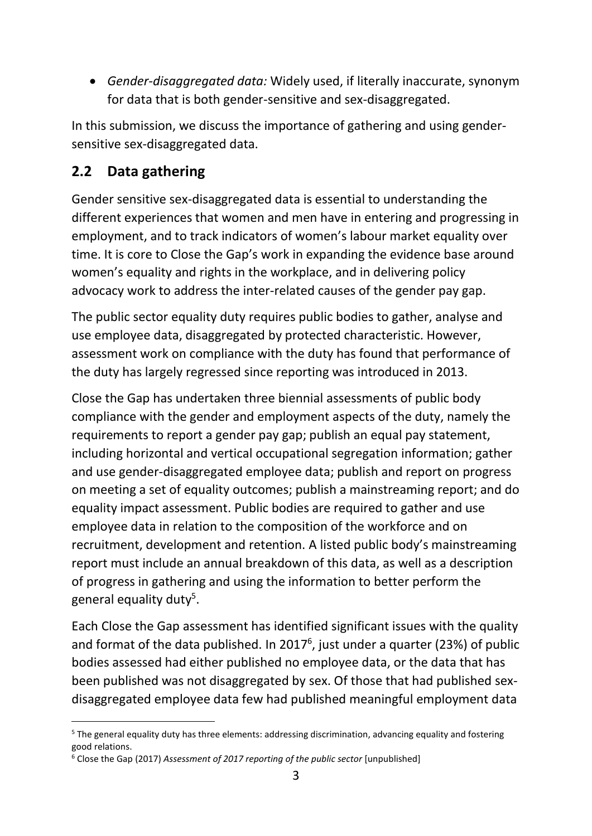• *Gender-disaggregated data:* Widely used, if literally inaccurate, synonym for data that is both gender-sensitive and sex-disaggregated.

In this submission, we discuss the importance of gathering and using gendersensitive sex-disaggregated data.

# **2.2 Data gathering**

Gender sensitive sex-disaggregated data is essential to understanding the different experiences that women and men have in entering and progressing in employment, and to track indicators of women's labour market equality over time. It is core to Close the Gap's work in expanding the evidence base around women's equality and rights in the workplace, and in delivering policy advocacy work to address the inter-related causes of the gender pay gap.

The public sector equality duty requires public bodies to gather, analyse and use employee data, disaggregated by protected characteristic. However, assessment work on compliance with the duty has found that performance of the duty has largely regressed since reporting was introduced in 2013.

Close the Gap has undertaken three biennial assessments of public body compliance with the gender and employment aspects of the duty, namely the requirements to report a gender pay gap; publish an equal pay statement, including horizontal and vertical occupational segregation information; gather and use gender-disaggregated employee data; publish and report on progress on meeting a set of equality outcomes; publish a mainstreaming report; and do equality impact assessment. Public bodies are required to gather and use employee data in relation to the composition of the workforce and on recruitment, development and retention. A listed public body's mainstreaming report must include an annual breakdown of this data, as well as a description of progress in gathering and using the information to better perform the general equality duty<sup>5</sup>.

Each Close the Gap assessment has identified significant issues with the quality and format of the data published. In 2017 $^6$ , just under a quarter (23%) of public bodies assessed had either published no employee data, or the data that has been published was not disaggregated by sex. Of those that had published sexdisaggregated employee data few had published meaningful employment data

<sup>&</sup>lt;sup>5</sup> The general equality duty has three elements: addressing discrimination, advancing equality and fostering good relations.

<sup>6</sup> Close the Gap (2017) *Assessment of 2017 reporting of the public sector* [unpublished]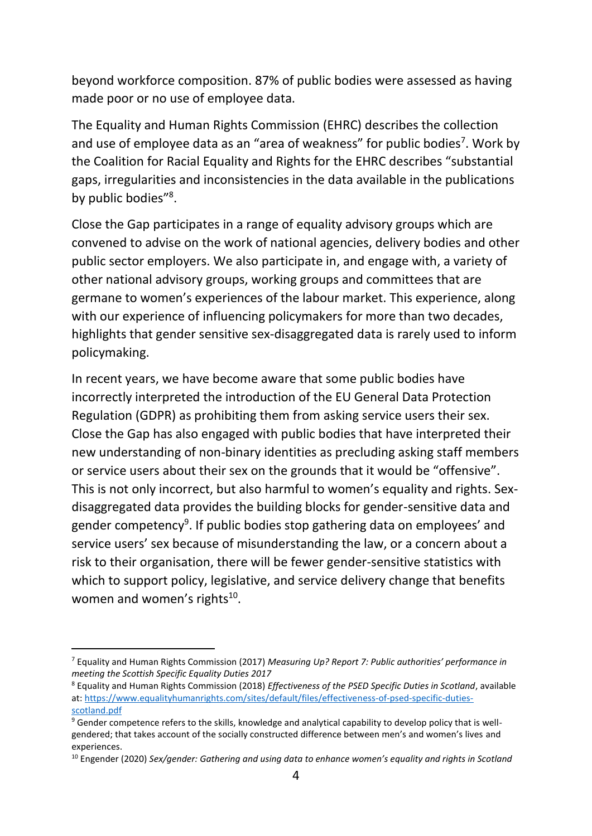beyond workforce composition. 87% of public bodies were assessed as having made poor or no use of employee data.

The Equality and Human Rights Commission (EHRC) describes the collection and use of employee data as an "area of weakness" for public bodies<sup>7</sup>. Work by the Coalition for Racial Equality and Rights for the EHRC describes "substantial gaps, irregularities and inconsistencies in the data available in the publications by public bodies"<sup>8</sup>.

Close the Gap participates in a range of equality advisory groups which are convened to advise on the work of national agencies, delivery bodies and other public sector employers. We also participate in, and engage with, a variety of other national advisory groups, working groups and committees that are germane to women's experiences of the labour market. This experience, along with our experience of influencing policymakers for more than two decades, highlights that gender sensitive sex-disaggregated data is rarely used to inform policymaking.

In recent years, we have become aware that some public bodies have incorrectly interpreted the introduction of the EU General Data Protection Regulation (GDPR) as prohibiting them from asking service users their sex. Close the Gap has also engaged with public bodies that have interpreted their new understanding of non-binary identities as precluding asking staff members or service users about their sex on the grounds that it would be "offensive". This is not only incorrect, but also harmful to women's equality and rights. Sexdisaggregated data provides the building blocks for gender-sensitive data and gender competency<sup>9</sup>. If public bodies stop gathering data on employees' and service users' sex because of misunderstanding the law, or a concern about a risk to their organisation, there will be fewer gender-sensitive statistics with which to support policy, legislative, and service delivery change that benefits women and women's rights<sup>10</sup>.

<sup>7</sup> Equality and Human Rights Commission (2017) *Measuring Up? Report 7: Public authorities' performance in meeting the Scottish Specific Equality Duties 2017*

<sup>8</sup> Equality and Human Rights Commission (2018) *Effectiveness of the PSED Specific Duties in Scotland*, available at: [https://www.equalityhumanrights.com/sites/default/files/effectiveness-of-psed-specific-duties](https://www.equalityhumanrights.com/sites/default/files/effectiveness-of-psed-specific-duties-scotland.pdf)[scotland.pdf](https://www.equalityhumanrights.com/sites/default/files/effectiveness-of-psed-specific-duties-scotland.pdf)

<sup>&</sup>lt;sup>9</sup> Gender competence refers to the skills, knowledge and analytical capability to develop policy that is wellgendered; that takes account of the socially constructed difference between men's and women's lives and experiences.

<sup>10</sup> Engender (2020) *Sex/gender: Gathering and using data to enhance women's equality and rights in Scotland*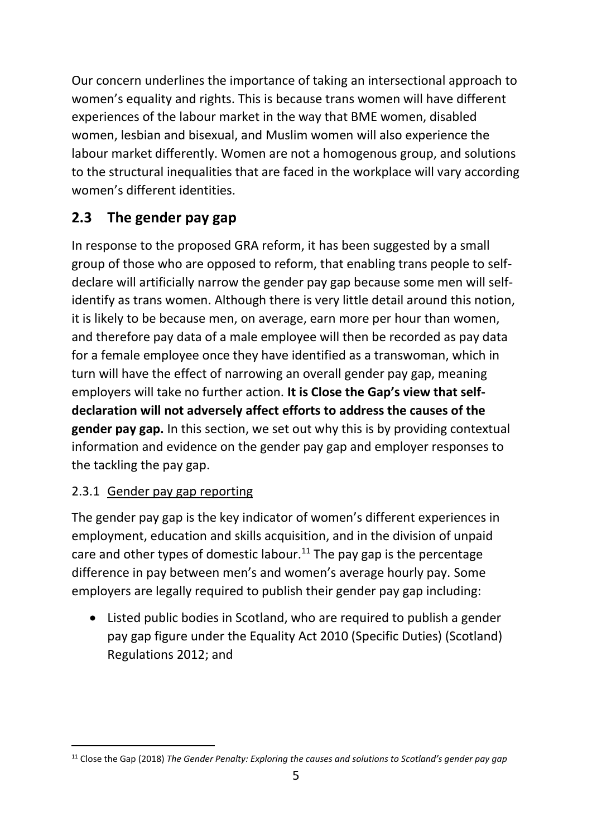Our concern underlines the importance of taking an intersectional approach to women's equality and rights. This is because trans women will have different experiences of the labour market in the way that BME women, disabled women, lesbian and bisexual, and Muslim women will also experience the labour market differently. Women are not a homogenous group, and solutions to the structural inequalities that are faced in the workplace will vary according women's different identities.

# **2.3 The gender pay gap**

In response to the proposed GRA reform, it has been suggested by a small group of those who are opposed to reform, that enabling trans people to selfdeclare will artificially narrow the gender pay gap because some men will selfidentify as trans women. Although there is very little detail around this notion, it is likely to be because men, on average, earn more per hour than women, and therefore pay data of a male employee will then be recorded as pay data for a female employee once they have identified as a transwoman, which in turn will have the effect of narrowing an overall gender pay gap, meaning employers will take no further action. **It is Close the Gap's view that selfdeclaration will not adversely affect efforts to address the causes of the gender pay gap.** In this section, we set out why this is by providing contextual information and evidence on the gender pay gap and employer responses to the tackling the pay gap.

### 2.3.1 Gender pay gap reporting

The gender pay gap is the key indicator of women's different experiences in employment, education and skills acquisition, and in the division of unpaid care and other types of domestic labour.<sup>11</sup> The pay gap is the percentage difference in pay between men's and women's average hourly pay. Some employers are legally required to publish their gender pay gap including:

• Listed public bodies in Scotland, who are required to publish a gender pay gap figure under the Equality Act 2010 (Specific Duties) (Scotland) Regulations 2012; and

<sup>11</sup> Close the Gap (2018) *The Gender Penalty: Exploring the causes and solutions to Scotland's gender pay gap*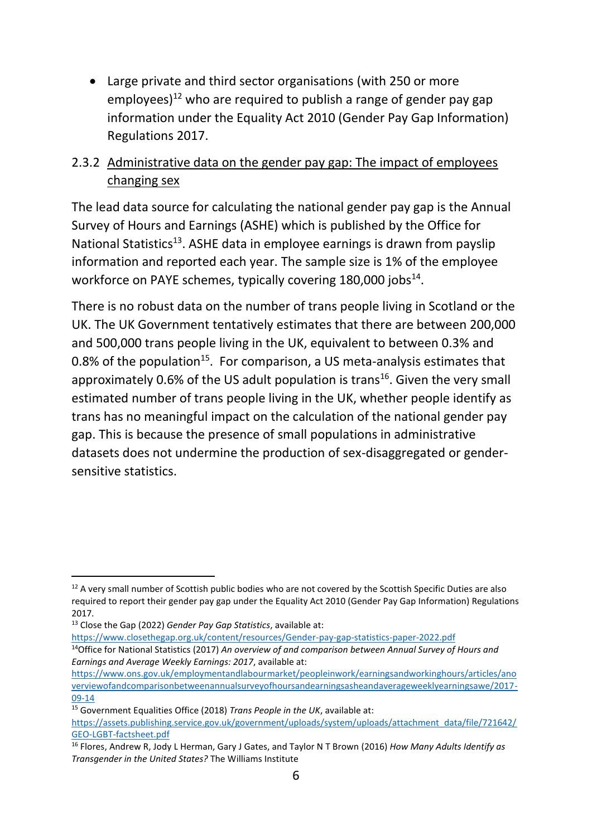• Large private and third sector organisations (with 250 or more employees) $12$  who are required to publish a range of gender pay gap information under the Equality Act 2010 (Gender Pay Gap Information) Regulations 2017.

#### 2.3.2 Administrative data on the gender pay gap: The impact of employees changing sex

The lead data source for calculating the national gender pay gap is the Annual Survey of Hours and Earnings (ASHE) which is published by the Office for National Statistics<sup>13</sup>. ASHE data in employee earnings is drawn from payslip information and reported each year. The sample size is 1% of the employee workforce on PAYE schemes, typically covering 180,000 jobs<sup>14</sup>.

There is no robust data on the number of trans people living in Scotland or the UK. The UK Government tentatively estimates that there are between 200,000 and 500,000 trans people living in the UK, equivalent to between 0.3% and 0.8% of the population<sup>15</sup>. For comparison, a US meta-analysis estimates that approximately 0.6% of the US adult population is trans<sup>16</sup>. Given the very small estimated number of trans people living in the UK, whether people identify as trans has no meaningful impact on the calculation of the national gender pay gap. This is because the presence of small populations in administrative datasets does not undermine the production of sex-disaggregated or gendersensitive statistics.

<sup>&</sup>lt;sup>12</sup> A very small number of Scottish public bodies who are not covered by the Scottish Specific Duties are also required to report their gender pay gap under the Equality Act 2010 (Gender Pay Gap Information) Regulations 2017.

<sup>13</sup> Close the Gap (2022) *Gender Pay Gap Statistics*, available at:

<https://www.closethegap.org.uk/content/resources/Gender-pay-gap-statistics-paper-2022.pdf>

<sup>14</sup>Office for National Statistics (2017) *An overview of and comparison between Annual Survey of Hours and Earnings and Average Weekly Earnings: 2017*, available at:

[https://www.ons.gov.uk/employmentandlabourmarket/peopleinwork/earningsandworkinghours/articles/ano](https://www.ons.gov.uk/employmentandlabourmarket/peopleinwork/earningsandworkinghours/articles/anoverviewofandcomparisonbetweenannualsurveyofhoursandearningsasheandaverageweeklyearningsawe/2017-09-14) [verviewofandcomparisonbetweenannualsurveyofhoursandearningsasheandaverageweeklyearningsawe/2017-](https://www.ons.gov.uk/employmentandlabourmarket/peopleinwork/earningsandworkinghours/articles/anoverviewofandcomparisonbetweenannualsurveyofhoursandearningsasheandaverageweeklyearningsawe/2017-09-14) [09-14](https://www.ons.gov.uk/employmentandlabourmarket/peopleinwork/earningsandworkinghours/articles/anoverviewofandcomparisonbetweenannualsurveyofhoursandearningsasheandaverageweeklyearningsawe/2017-09-14)

<sup>15</sup> Government Equalities Office (2018) *Trans People in the UK*, available at: [https://assets.publishing.service.gov.uk/government/uploads/system/uploads/attachment\\_data/file/721642/](https://assets.publishing.service.gov.uk/government/uploads/system/uploads/attachment_data/file/721642/GEO-LGBT-factsheet.pdf) [GEO-LGBT-factsheet.pdf](https://assets.publishing.service.gov.uk/government/uploads/system/uploads/attachment_data/file/721642/GEO-LGBT-factsheet.pdf) 

<sup>16</sup> Flores, Andrew R, Jody L Herman, Gary J Gates, and Taylor N T Brown (2016) *How Many Adults Identify as Transgender in the United States?* The Williams Institute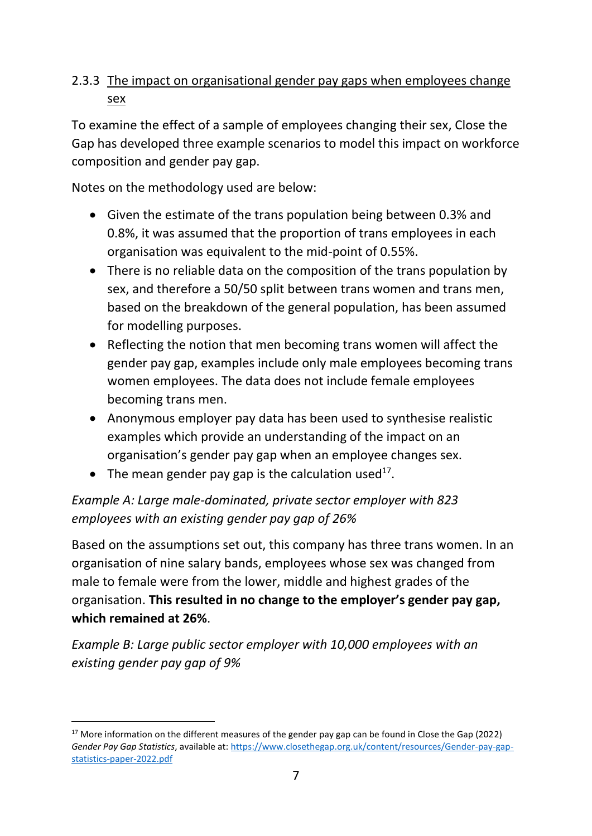#### 2.3.3 The impact on organisational gender pay gaps when employees change sex

To examine the effect of a sample of employees changing their sex, Close the Gap has developed three example scenarios to model this impact on workforce composition and gender pay gap.

Notes on the methodology used are below:

- Given the estimate of the trans population being between 0.3% and 0.8%, it was assumed that the proportion of trans employees in each organisation was equivalent to the mid-point of 0.55%.
- There is no reliable data on the composition of the trans population by sex, and therefore a 50/50 split between trans women and trans men, based on the breakdown of the general population, has been assumed for modelling purposes.
- Reflecting the notion that men becoming trans women will affect the gender pay gap, examples include only male employees becoming trans women employees. The data does not include female employees becoming trans men.
- Anonymous employer pay data has been used to synthesise realistic examples which provide an understanding of the impact on an organisation's gender pay gap when an employee changes sex.
- The mean gender pay gap is the calculation used<sup>17</sup>.

### *Example A: Large male-dominated, private sector employer with 823 employees with an existing gender pay gap of 26%*

Based on the assumptions set out, this company has three trans women. In an organisation of nine salary bands, employees whose sex was changed from male to female were from the lower, middle and highest grades of the organisation. **This resulted in no change to the employer's gender pay gap, which remained at 26%**.

*Example B: Large public sector employer with 10,000 employees with an existing gender pay gap of 9%*

<sup>&</sup>lt;sup>17</sup> More information on the different measures of the gender pay gap can be found in Close the Gap (2022) *Gender Pay Gap Statistics*, available at: [https://www.closethegap.org.uk/content/resources/Gender-pay-gap](https://www.closethegap.org.uk/content/resources/Gender-pay-gap-statistics-paper-2022.pdf)[statistics-paper-2022.pdf](https://www.closethegap.org.uk/content/resources/Gender-pay-gap-statistics-paper-2022.pdf)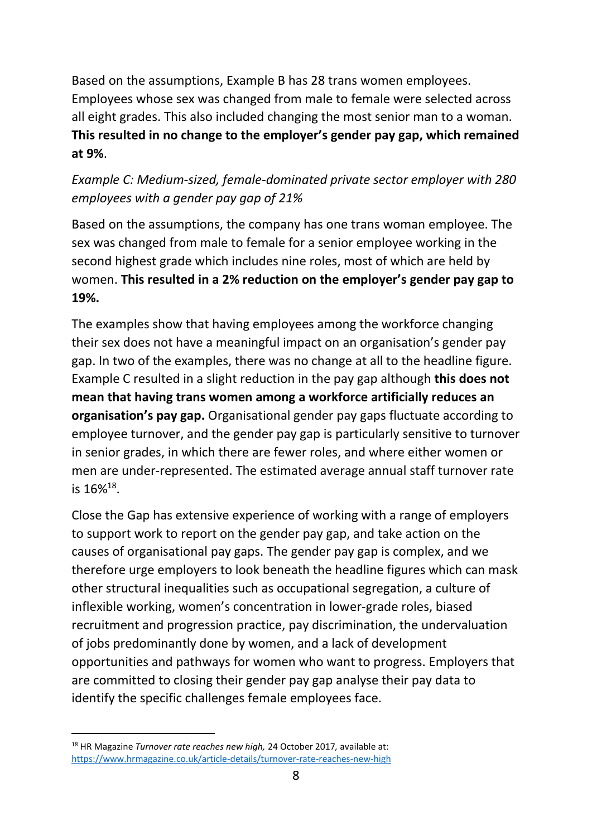Based on the assumptions, Example B has 28 trans women employees. Employees whose sex was changed from male to female were selected across all eight grades. This also included changing the most senior man to a woman. **This resulted in no change to the employer's gender pay gap, which remained at 9%**.

#### *Example C: Medium-sized, female-dominated private sector employer with 280 employees with a gender pay gap of 21%*

Based on the assumptions, the company has one trans woman employee. The sex was changed from male to female for a senior employee working in the second highest grade which includes nine roles, most of which are held by women. **This resulted in a 2% reduction on the employer's gender pay gap to 19%.** 

The examples show that having employees among the workforce changing their sex does not have a meaningful impact on an organisation's gender pay gap. In two of the examples, there was no change at all to the headline figure. Example C resulted in a slight reduction in the pay gap although **this does not mean that having trans women among a workforce artificially reduces an organisation's pay gap.** Organisational gender pay gaps fluctuate according to employee turnover, and the gender pay gap is particularly sensitive to turnover in senior grades, in which there are fewer roles, and where either women or men are under-represented. The estimated average annual staff turnover rate is  $16\%^{18}$ .

Close the Gap has extensive experience of working with a range of employers to support work to report on the gender pay gap, and take action on the causes of organisational pay gaps. The gender pay gap is complex, and we therefore urge employers to look beneath the headline figures which can mask other structural inequalities such as occupational segregation, a culture of inflexible working, women's concentration in lower-grade roles, biased recruitment and progression practice, pay discrimination, the undervaluation of jobs predominantly done by women, and a lack of development opportunities and pathways for women who want to progress. Employers that are committed to closing their gender pay gap analyse their pay data to identify the specific challenges female employees face.

<sup>18</sup> HR Magazine *Turnover rate reaches new high,* 24 October 2017*,* available at: <https://www.hrmagazine.co.uk/article-details/turnover-rate-reaches-new-high>